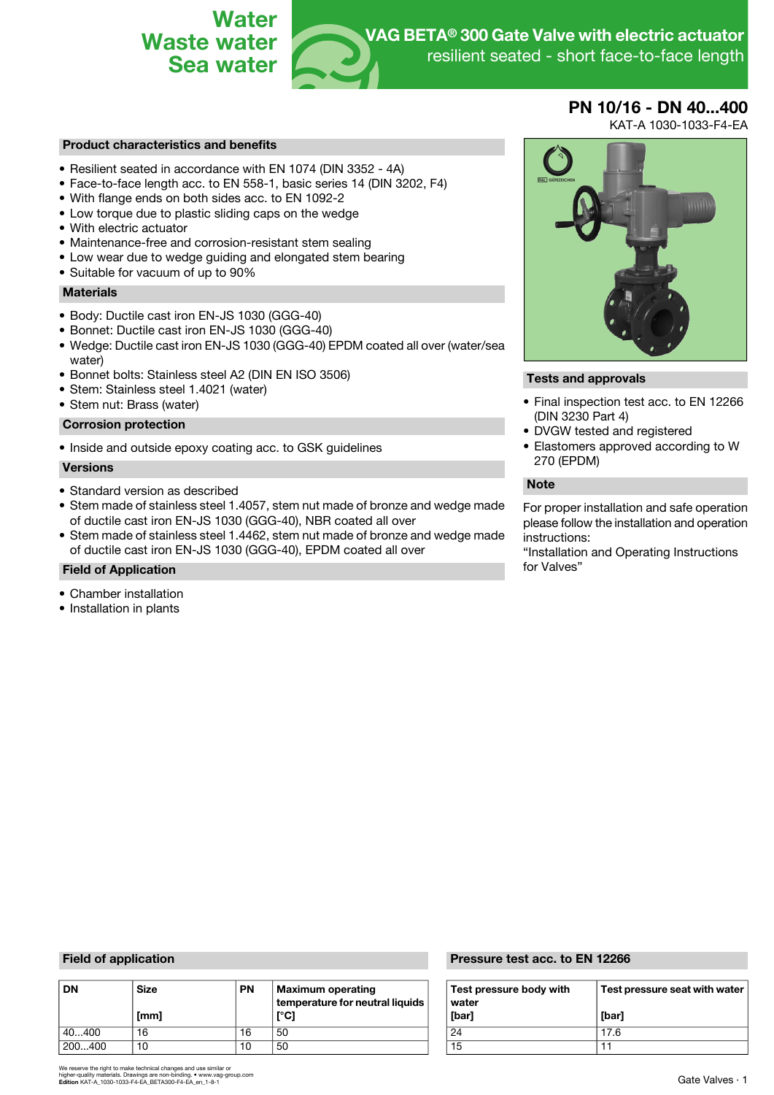

# **PN 10/16 - DN 40...400**

KAT-A 1030-1033-F4-EA

## **Product characteristics and benefits**

- Resilient seated in accordance with EN 1074 (DIN 3352 4A)
- Face-to-face length acc. to EN 558-1, basic series 14 (DIN 3202, F4)
- With flange ends on both sides acc. to EN 1092-2
- Low torque due to plastic sliding caps on the wedge
- With electric actuator
- Maintenance-free and corrosion-resistant stem sealing
- Low wear due to wedge guiding and elongated stem bearing
- Suitable for vacuum of up to 90%

## **Materials**

- Body: Ductile cast iron EN-JS 1030 (GGG-40)
- Bonnet: Ductile cast iron EN-JS 1030 (GGG-40)
- Wedge: Ductile cast iron EN-JS 1030 (GGG-40) EPDM coated all over (water/sea water)
- Bonnet bolts: Stainless steel A2 (DIN EN ISO 3506) **Tests and approvals**
- Stem: Stainless steel 1.4021 (water)
- Stem nut: Brass (water)

## **Corrosion protection**

• Inside and outside epoxy coating acc. to GSK guidelines

### **Versions**

- Standard version as described **by the standard version as described by the standard version as described by the standard version as described by the standard version as described by the standard version as descri**
- Stem made of stainless steel 1.4057, stem nut made of bronze and wedge made of ductile cast iron EN-JS 1030 (GGG-40), NBR coated all over
- Stem made of stainless steel 1.4462, stem nut made of bronze and wedge made instructions:<br>of ductile cast iron EN-JS 1030 (GGG-40), EPDM coated all over "Installation and Operating Instructions of ductile cast iron EN-JS 1030 (GGG-40), EPDM coated all over

# **Field of Application for Valves**  $\sim$

- Chamber installation
- Installation in plants



- Final inspection test acc. to EN 12266 (DIN 3230 Part 4)
- DVGW tested and registered
- Elastomers approved according to W 270 (EPDM)

For proper installation and safe operation please follow the installation and operation

| <b>DN</b> | <b>Size</b><br>[mm] | <b>PN</b> | Maximum operating<br>temperature for neutral liquids<br>[°C] | Test pressure body with<br>water<br>[bar] | <b>Test</b><br>[bar] |
|-----------|---------------------|-----------|--------------------------------------------------------------|-------------------------------------------|----------------------|
| 40400     | 16                  | 16        | 50                                                           | 24                                        | 17.6                 |
| 200400    | 10                  | 10        | 50                                                           | 15                                        |                      |

## **Field of application Pressure test acc. to EN 12266**

| Test pressure body with<br>water<br>[bar] | Test pressure seat with water<br>[bar] |
|-------------------------------------------|----------------------------------------|
| 24                                        | 17.6                                   |
| 15                                        |                                        |

We reserve the right to make technical changes and use similar or<br>higher-quality materials. Drawings are non-binding. • www.vag-group.com<br>**Edition** KAT-A\_1030-1033-F4-EA\_BETA300-F4-EA\_en\_1-8-1